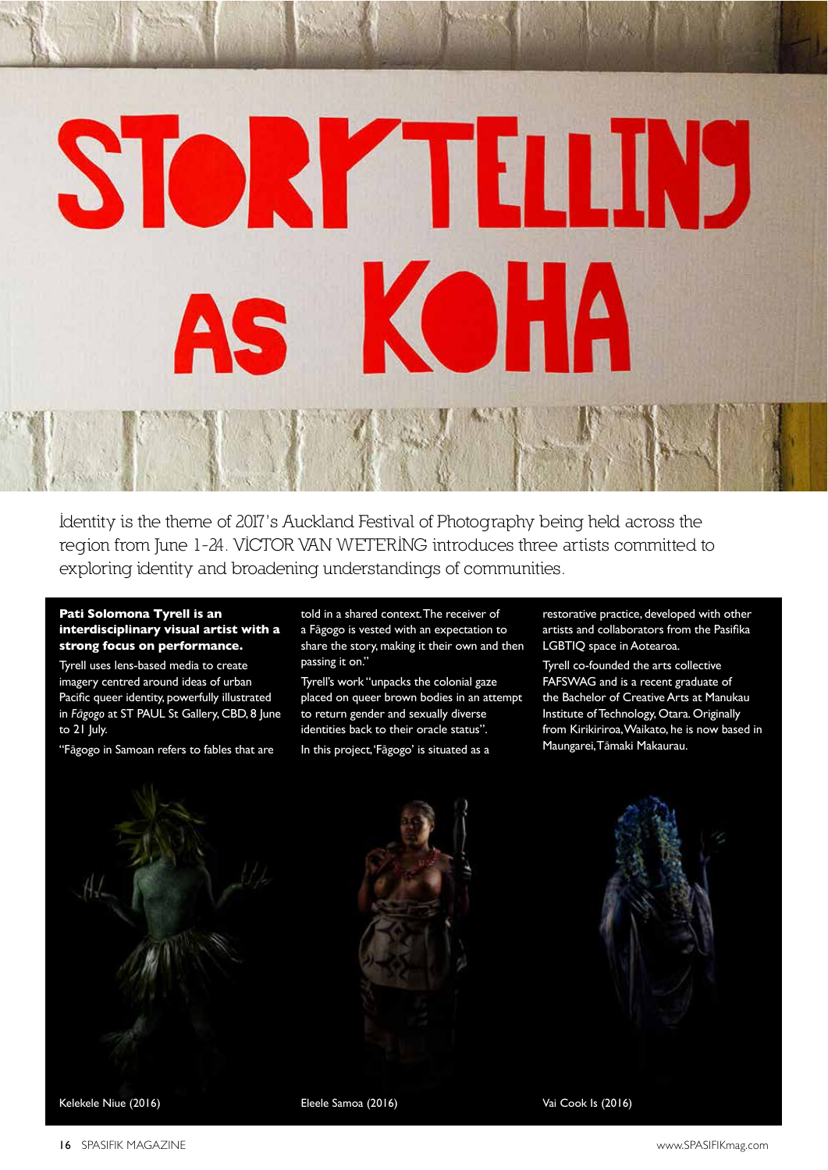# **STORY TELLIN** KOHA

Identity is the theme of 2017's Auckland Festival of Photography being held across the region from June 1-24. VICTOR VAN WETERING introduces three artists committed to exploring identity and broadening understandings of communities.

## **Pati Solomona Tyrell is an interdisciplinary visual artist with a strong focus on performance.**

Tyrell uses lens-based media to create imagery centred around ideas of urban Pacifc queer identity, powerfully illustrated in *F*ā*gogo* at ST PAUL St Gallery, CBD, 8 June to 21 July.

"Fāgogo in Samoan refers to fables that are

told in a shared context. The receiver of a Fāgogo is vested with an expectation to share the story, making it their own and then passing it on."

Tyrell's work "unpacks the colonial gaze placed on queer brown bodies in an attempt to return gender and sexually diverse identities back to their oracle status". In this project, 'Fāgogo' is situated as a

restorative practice, developed with other artists and collaborators from the Pasifka LGBTIQ space in Aotearoa.

Tyrell co-founded the arts collective FAFSWAG and is a recent graduate of the Bachelor of Creative Arts at Manukau Institute of Technology, Otara. Originally from Kirikiriroa, Waikato, he is now based in Maungarei, Tāmaki Makaurau.